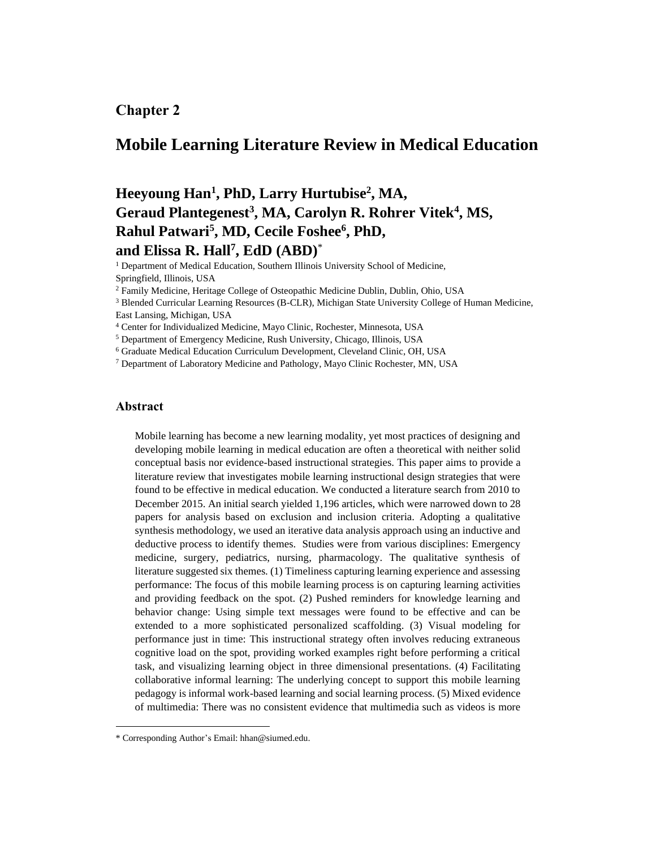## **Chapter 2**

## **Mobile Learning Literature Review in Medical Education**

# **Heeyoung Han<sup>1</sup> , PhD, Larry Hurtubise<sup>2</sup> , MA, Geraud Plantegenest<sup>3</sup> , MA, Carolyn R. Rohrer Vitek<sup>4</sup> , MS, Rahul Patwari<sup>5</sup> , MD, Cecile Foshee<sup>6</sup> , PhD, and Elissa R. Hall<sup>7</sup> , EdD (ABD)**\*

<sup>1</sup> Department of Medical Education, Southern Illinois University School of Medicine, Springfield, Illinois, USA

<sup>2</sup> Family Medicine, Heritage College of Osteopathic Medicine Dublin, Dublin, Ohio, USA

<sup>3</sup> Blended Curricular Learning Resources (B-CLR), Michigan State University College of Human Medicine, East Lansing, Michigan, USA

<sup>4</sup> Center for Individualized Medicine, Mayo Clinic, Rochester, Minnesota, USA

<sup>5</sup> Department of Emergency Medicine, Rush University, Chicago, Illinois, USA

<sup>6</sup> Graduate Medical Education Curriculum Development, Cleveland Clinic, OH, USA

<sup>7</sup> Department of Laboratory Medicine and Pathology, Mayo Clinic Rochester, MN, USA

## **Abstract**

Mobile learning has become a new learning modality, yet most practices of designing and developing mobile learning in medical education are often a theoretical with neither solid conceptual basis nor evidence-based instructional strategies. This paper aims to provide a literature review that investigates mobile learning instructional design strategies that were found to be effective in medical education. We conducted a literature search from 2010 to December 2015. An initial search yielded 1,196 articles, which were narrowed down to 28 papers for analysis based on exclusion and inclusion criteria. Adopting a qualitative synthesis methodology, we used an iterative data analysis approach using an inductive and deductive process to identify themes. Studies were from various disciplines: Emergency medicine, surgery, pediatrics, nursing, pharmacology. The qualitative synthesis of literature suggested six themes. (1) Timeliness capturing learning experience and assessing performance: The focus of this mobile learning process is on capturing learning activities and providing feedback on the spot. (2) Pushed reminders for knowledge learning and behavior change: Using simple text messages were found to be effective and can be extended to a more sophisticated personalized scaffolding. (3) Visual modeling for performance just in time: This instructional strategy often involves reducing extraneous cognitive load on the spot, providing worked examples right before performing a critical task, and visualizing learning object in three dimensional presentations. (4) Facilitating collaborative informal learning: The underlying concept to support this mobile learning pedagogy is informal work-based learning and social learning process. (5) Mixed evidence of multimedia: There was no consistent evidence that multimedia such as videos is more

<sup>\*</sup> Corresponding Author's Email: hhan@siumed.edu.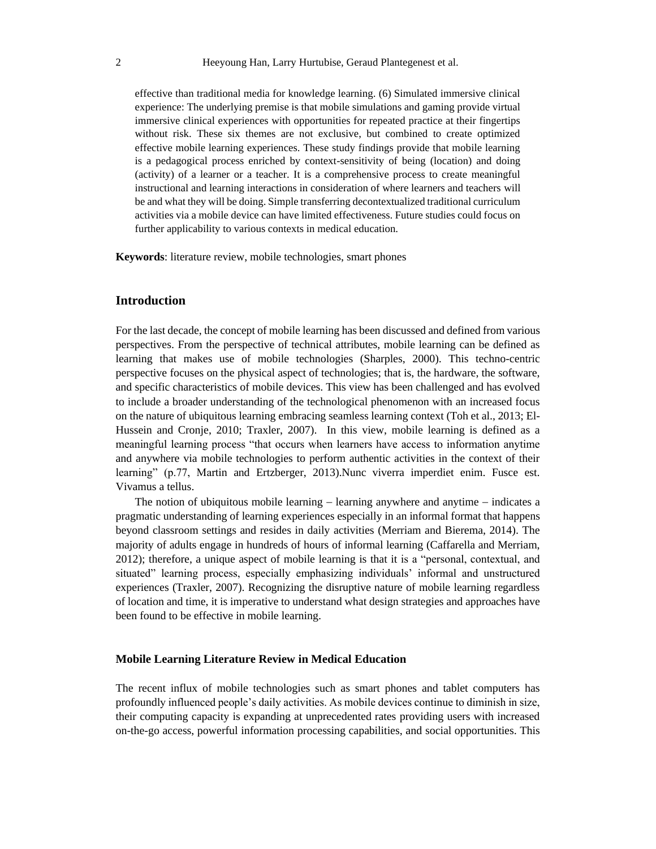effective than traditional media for knowledge learning. (6) Simulated immersive clinical experience: The underlying premise is that mobile simulations and gaming provide virtual immersive clinical experiences with opportunities for repeated practice at their fingertips without risk. These six themes are not exclusive, but combined to create optimized effective mobile learning experiences. These study findings provide that mobile learning is a pedagogical process enriched by context-sensitivity of being (location) and doing (activity) of a learner or a teacher. It is a comprehensive process to create meaningful instructional and learning interactions in consideration of where learners and teachers will be and what they will be doing. Simple transferring decontextualized traditional curriculum activities via a mobile device can have limited effectiveness. Future studies could focus on further applicability to various contexts in medical education.

**Keywords**: literature review, mobile technologies, smart phones

## **Introduction**

For the last decade, the concept of mobile learning has been discussed and defined from various perspectives. From the perspective of technical attributes, mobile learning can be defined as learning that makes use of mobile technologies (Sharples, 2000). This techno-centric perspective focuses on the physical aspect of technologies; that is, the hardware, the software, and specific characteristics of mobile devices. This view has been challenged and has evolved to include a broader understanding of the technological phenomenon with an increased focus on the nature of ubiquitous learning embracing seamless learning context (Toh et al., 2013; El-Hussein and Cronje, 2010; Traxler, 2007). In this view, mobile learning is defined as a meaningful learning process "that occurs when learners have access to information anytime and anywhere via mobile technologies to perform authentic activities in the context of their learning" (p.77, Martin and Ertzberger, 2013).Nunc viverra imperdiet enim. Fusce est. Vivamus a tellus.

The notion of ubiquitous mobile learning – learning anywhere and anytime – indicates a pragmatic understanding of learning experiences especially in an informal format that happens beyond classroom settings and resides in daily activities (Merriam and Bierema, 2014). The majority of adults engage in hundreds of hours of informal learning (Caffarella and Merriam, 2012); therefore, a unique aspect of mobile learning is that it is a "personal, contextual, and situated" learning process, especially emphasizing individuals' informal and unstructured experiences (Traxler, 2007). Recognizing the disruptive nature of mobile learning regardless of location and time, it is imperative to understand what design strategies and approaches have been found to be effective in mobile learning.

#### **Mobile Learning Literature Review in Medical Education**

The recent influx of mobile technologies such as smart phones and tablet computers has profoundly influenced people's daily activities. As mobile devices continue to diminish in size, their computing capacity is expanding at unprecedented rates providing users with increased on-the-go access, powerful information processing capabilities, and social opportunities. This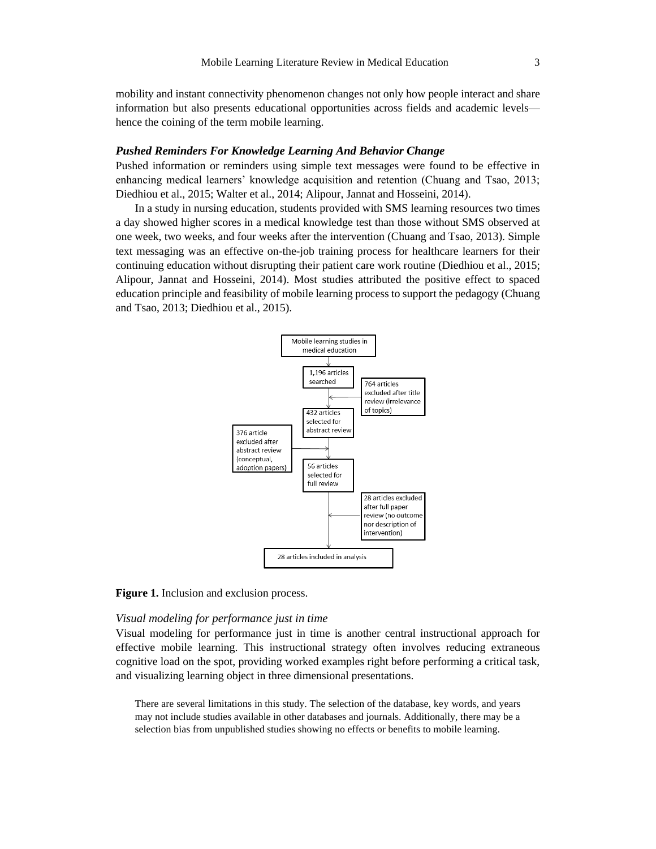mobility and instant connectivity phenomenon changes not only how people interact and share information but also presents educational opportunities across fields and academic levels hence the coining of the term mobile learning.

#### *Pushed Reminders For Knowledge Learning And Behavior Change*

Pushed information or reminders using simple text messages were found to be effective in enhancing medical learners' knowledge acquisition and retention (Chuang and Tsao, 2013; Diedhiou et al., 2015; Walter et al., 2014; Alipour, Jannat and Hosseini, 2014).

In a study in nursing education, students provided with SMS learning resources two times a day showed higher scores in a medical knowledge test than those without SMS observed at one week, two weeks, and four weeks after the intervention (Chuang and Tsao, 2013). Simple text messaging was an effective on-the-job training process for healthcare learners for their continuing education without disrupting their patient care work routine (Diedhiou et al., 2015; Alipour, Jannat and Hosseini, 2014). Most studies attributed the positive effect to spaced education principle and feasibility of mobile learning process to support the pedagogy (Chuang and Tsao, 2013; Diedhiou et al., 2015).



**Figure 1.** Inclusion and exclusion process.

#### *Visual modeling for performance just in time*

Visual modeling for performance just in time is another central instructional approach for effective mobile learning. This instructional strategy often involves reducing extraneous cognitive load on the spot, providing worked examples right before performing a critical task, and visualizing learning object in three dimensional presentations.

There are several limitations in this study. The selection of the database, key words, and years may not include studies available in other databases and journals. Additionally, there may be a selection bias from unpublished studies showing no effects or benefits to mobile learning.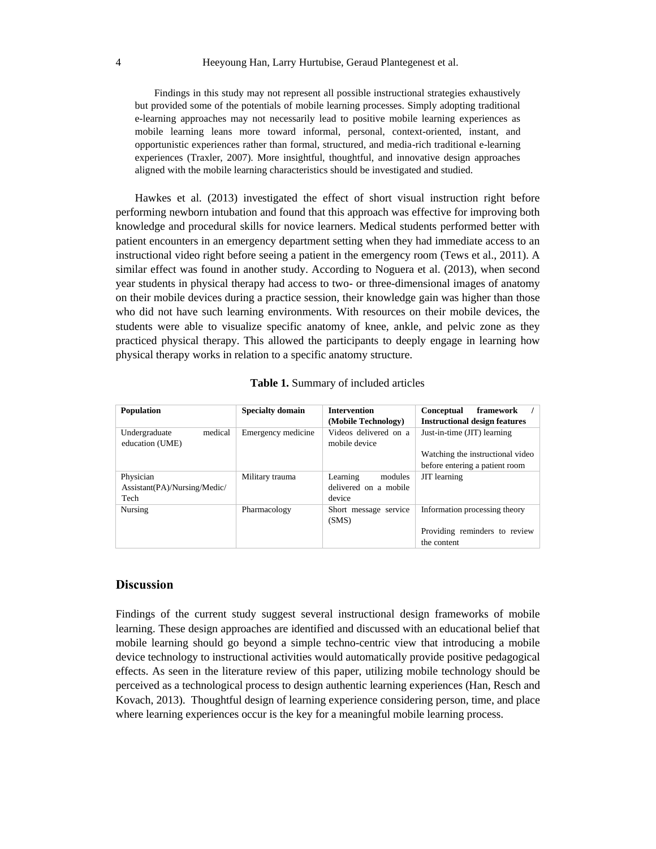#### 4 Heeyoung Han, Larry Hurtubise, Geraud Plantegenest et al.

Findings in this study may not represent all possible instructional strategies exhaustively but provided some of the potentials of mobile learning processes. Simply adopting traditional e-learning approaches may not necessarily lead to positive mobile learning experiences as mobile learning leans more toward informal, personal, context-oriented, instant, and opportunistic experiences rather than formal, structured, and media-rich traditional e-learning experiences (Traxler, 2007). More insightful, thoughtful, and innovative design approaches aligned with the mobile learning characteristics should be investigated and studied.

Hawkes et al. (2013) investigated the effect of short visual instruction right before performing newborn intubation and found that this approach was effective for improving both knowledge and procedural skills for novice learners. Medical students performed better with patient encounters in an emergency department setting when they had immediate access to an instructional video right before seeing a patient in the emergency room (Tews et al., 2011). A similar effect was found in another study. According to Noguera et al. (2013), when second year students in physical therapy had access to two- or three-dimensional images of anatomy on their mobile devices during a practice session, their knowledge gain was higher than those who did not have such learning environments. With resources on their mobile devices, the students were able to visualize specific anatomy of knee, ankle, and pelvic zone as they practiced physical therapy. This allowed the participants to deeply engage in learning how physical therapy works in relation to a specific anatomy structure.

| <b>Population</b>                           | <b>Specialty domain</b> | <b>Intervention</b><br>(Mobile Technology) | framework<br>Conceptual<br><b>Instructional design features</b> |  |
|---------------------------------------------|-------------------------|--------------------------------------------|-----------------------------------------------------------------|--|
| medical<br>Undergraduate<br>education (UME) | Emergency medicine      | Videos delivered on a<br>mobile device     | Just-in-time (JIT) learning                                     |  |
|                                             |                         |                                            | Watching the instructional video                                |  |
|                                             |                         |                                            | before entering a patient room                                  |  |
| Physician                                   | Military trauma         | Learning<br>modules                        | <b>JIT</b> learning                                             |  |
| Assistant(PA)/Nursing/Medic/                |                         | delivered on a mobile                      |                                                                 |  |
| Tech                                        |                         | device                                     |                                                                 |  |
| Nursing                                     | Pharmacology            | Short message service<br>(SMS)             | Information processing theory                                   |  |
|                                             |                         |                                            | Providing reminders to review                                   |  |
|                                             |                         |                                            | the content                                                     |  |

| Table 1. Summary of included articles |  |  |
|---------------------------------------|--|--|
|---------------------------------------|--|--|

## **Discussion**

Findings of the current study suggest several instructional design frameworks of mobile learning. These design approaches are identified and discussed with an educational belief that mobile learning should go beyond a simple techno-centric view that introducing a mobile device technology to instructional activities would automatically provide positive pedagogical effects. As seen in the literature review of this paper, utilizing mobile technology should be perceived as a technological process to design authentic learning experiences (Han, Resch and Kovach, 2013). Thoughtful design of learning experience considering person, time, and place where learning experiences occur is the key for a meaningful mobile learning process.